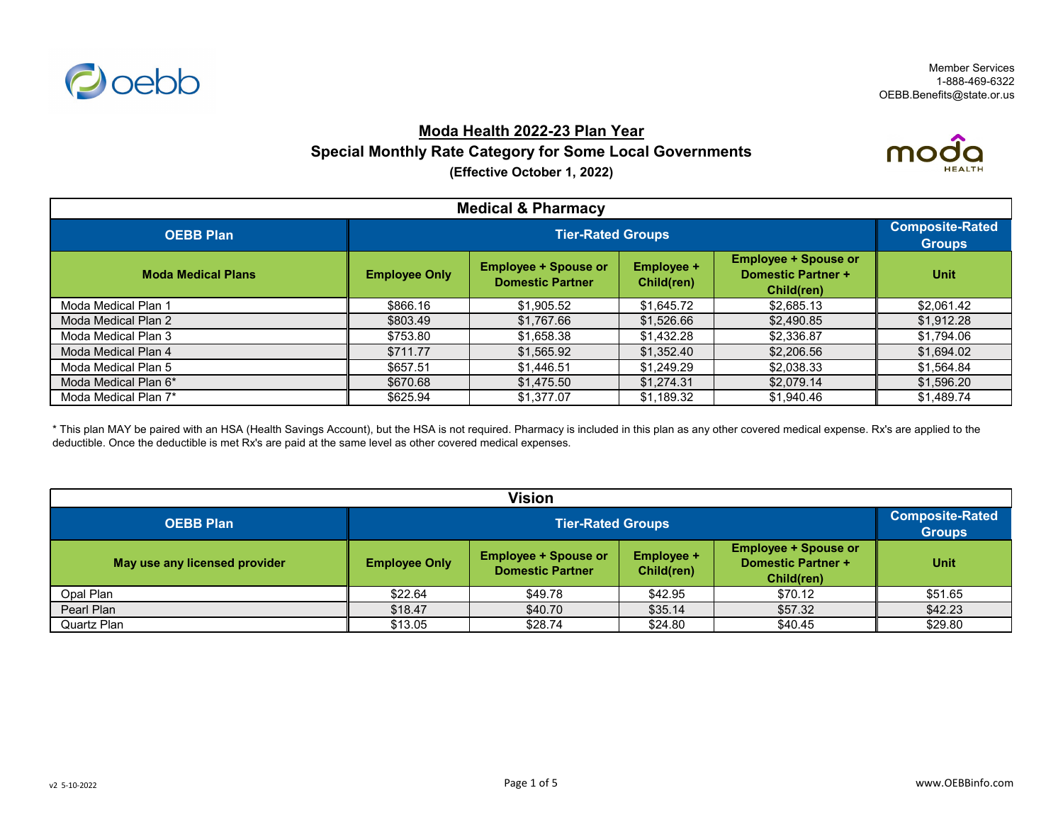

mo

# **Moda Health 2022-23 Plan Year Special Monthly Rate Category for Some Local Governments (Effective October 1, 2022)**



| <b>Medical &amp; Priarmacy</b> |                      |                                                        |                                 |                                                                        |             |  |
|--------------------------------|----------------------|--------------------------------------------------------|---------------------------------|------------------------------------------------------------------------|-------------|--|
| <b>OEBB Plan</b>               |                      | <b>Composite-Rated</b><br><b>Groups</b>                |                                 |                                                                        |             |  |
| <b>Moda Medical Plans</b>      | <b>Employee Only</b> | <b>Employee + Spouse or</b><br><b>Domestic Partner</b> | <b>Employee +</b><br>Child(ren) | <b>Employee + Spouse or</b><br><b>Domestic Partner +</b><br>Child(ren) | <b>Unit</b> |  |
| Moda Medical Plan 1            | \$866.16             | \$1,905.52                                             | \$1,645.72                      | \$2,685.13                                                             | \$2,061.42  |  |
| Moda Medical Plan 2            | \$803.49             | \$1,767.66                                             | \$1,526.66                      | \$2,490.85                                                             | \$1,912.28  |  |
| Moda Medical Plan 3            | \$753.80             | \$1,658.38                                             | \$1,432.28                      | \$2,336.87                                                             | \$1,794.06  |  |
| Moda Medical Plan 4            | \$711.77             | \$1,565.92                                             | \$1,352.40                      | \$2,206.56                                                             | \$1,694.02  |  |
| Moda Medical Plan 5            | \$657.51             | \$1,446.51                                             | \$1,249.29                      | \$2,038.33                                                             | \$1,564.84  |  |
| Moda Medical Plan 6*           | \$670.68             | \$1,475.50                                             | \$1,274.31                      | \$2,079.14                                                             | \$1,596.20  |  |
| Moda Medical Plan 7*           | \$625.94             | \$1,377.07                                             | \$1,189.32                      | \$1,940.46                                                             | \$1,489.74  |  |

\* This plan MAY be paired with an HSA (Health Savings Account), but the HSA is not required. Pharmacy is included in this plan as any other covered medical expense. Rx's are applied to the deductible. Once the deductible is met Rx's are paid at the same level as other covered medical expenses.

| <b>Vision</b>                 |                          |                                                        |                                 |                                                                        |                                         |  |  |
|-------------------------------|--------------------------|--------------------------------------------------------|---------------------------------|------------------------------------------------------------------------|-----------------------------------------|--|--|
| <b>OEBB Plan</b>              | <b>Tier-Rated Groups</b> |                                                        |                                 |                                                                        | <b>Composite-Rated</b><br><b>Groups</b> |  |  |
| May use any licensed provider | <b>Employee Only</b>     | <b>Employee + Spouse or</b><br><b>Domestic Partner</b> | <b>Employee +</b><br>Child(ren) | <b>Employee + Spouse or</b><br><b>Domestic Partner +</b><br>Child(ren) | <b>Unit</b>                             |  |  |
| Opal Plan                     | \$22.64                  | \$49.78                                                | \$42.95                         | \$70.12                                                                | \$51.65                                 |  |  |
| Pearl Plan                    | \$18.47                  | \$40.70                                                | \$35.14                         | \$57.32                                                                | \$42.23                                 |  |  |
| Quartz Plan                   | \$13.05                  | \$28.74                                                | \$24.80                         | \$40.45                                                                | \$29.80                                 |  |  |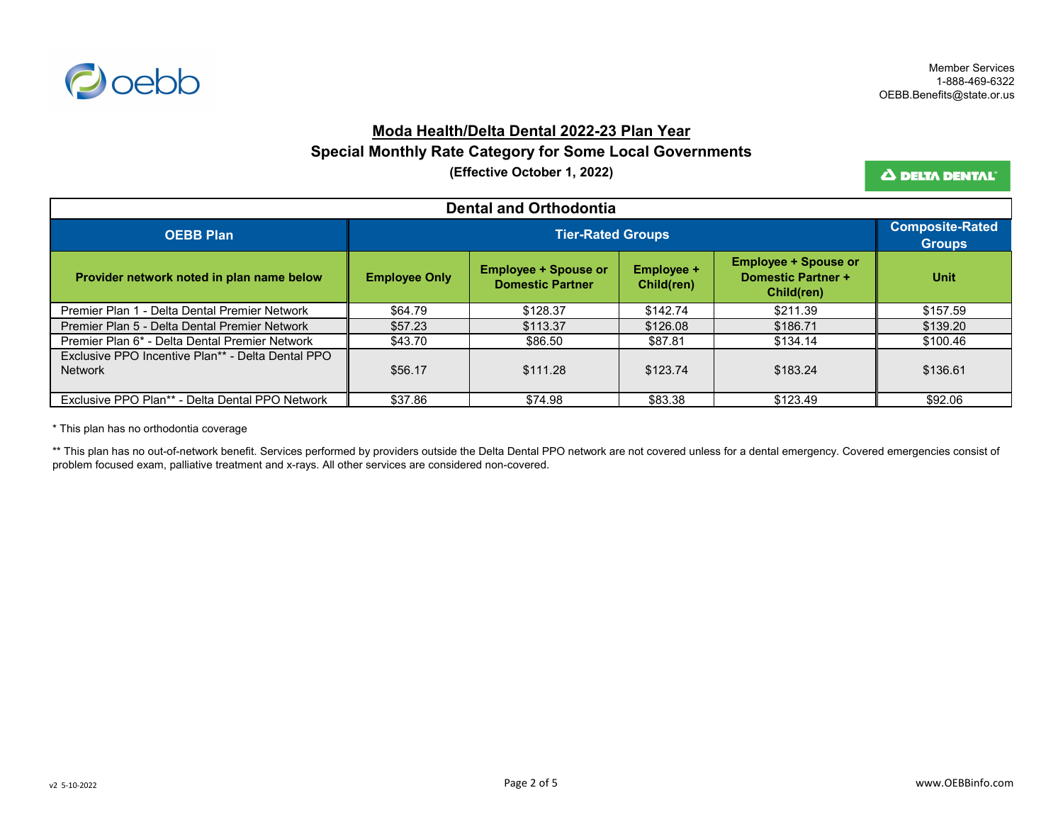

#### **Moda Health/Delta Dental 2022-23 Plan Year**

### **Special Monthly Rate Category for Some Local Governments**

**(Effective October 1, 2022)**

Δ DELTA DENTAL'

| <b>Dental and Orthodontia</b>                                       |                      |                                                        |                                 |                                                                        |             |  |
|---------------------------------------------------------------------|----------------------|--------------------------------------------------------|---------------------------------|------------------------------------------------------------------------|-------------|--|
| <b>OEBB Plan</b>                                                    |                      | <b>Tier-Rated Groups</b>                               |                                 |                                                                        |             |  |
| Provider network noted in plan name below                           | <b>Employee Only</b> | <b>Employee + Spouse or</b><br><b>Domestic Partner</b> | <b>Employee +</b><br>Child(ren) | <b>Employee + Spouse or</b><br><b>Domestic Partner +</b><br>Child(ren) | <b>Unit</b> |  |
| Premier Plan 1 - Delta Dental Premier Network                       | \$64.79              | \$128.37                                               | \$142.74                        | \$211.39                                                               | \$157.59    |  |
| Premier Plan 5 - Delta Dental Premier Network                       | \$57.23              | \$113.37                                               | \$126.08                        | \$186.71                                                               | \$139.20    |  |
| Premier Plan 6* - Delta Dental Premier Network                      | \$43.70              | \$86.50                                                | \$87.81                         | \$134.14                                                               | \$100.46    |  |
| Exclusive PPO Incentive Plan** - Delta Dental PPO<br><b>Network</b> | \$56.17              | \$111.28                                               | \$123.74                        | \$183.24                                                               | \$136.61    |  |
| Exclusive PPO Plan** - Delta Dental PPO Network                     | \$37.86              | \$74.98                                                | \$83.38                         | \$123.49                                                               | \$92.06     |  |

\* This plan has no orthodontia coverage

\*\* This plan has no out-of-network benefit. Services performed by providers outside the Delta Dental PPO network are not covered unless for a dental emergency. Covered emergencies consist of problem focused exam, palliative treatment and x-rays. All other services are considered non-covered.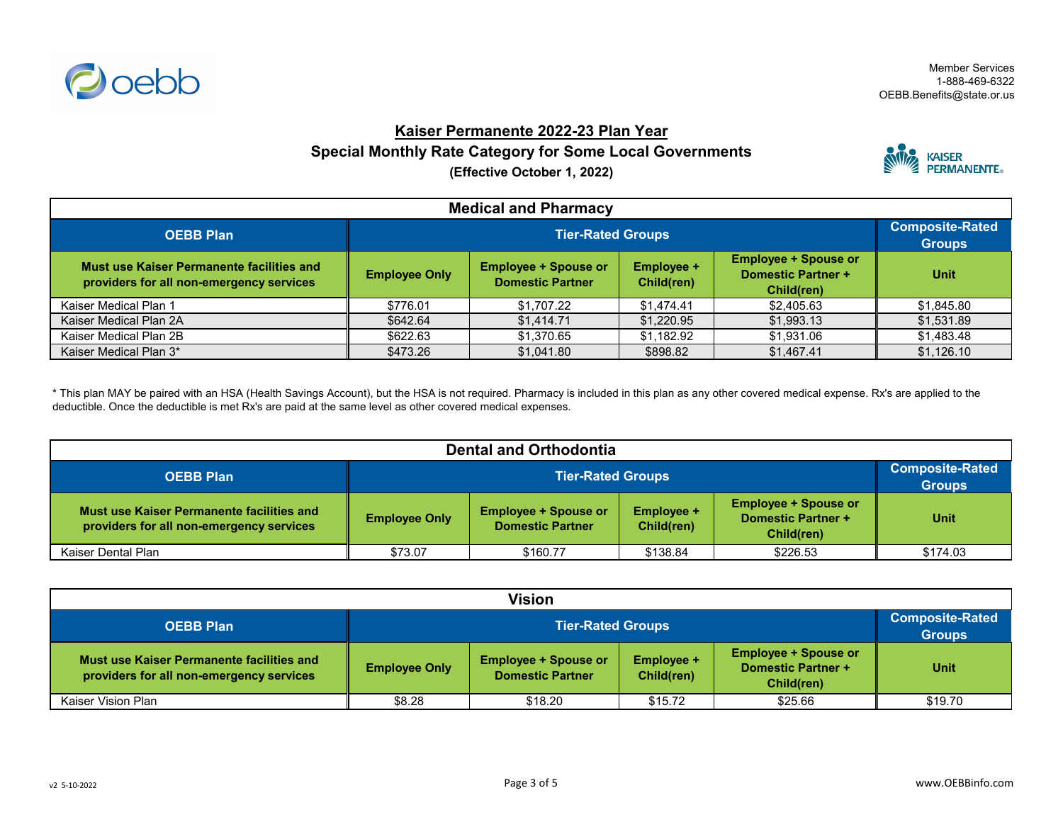

## **Kaiser Permanente 2022-23 Plan Year Special Monthly Rate Category for Some Local Governments (Effective October 1, 2022)**



| <b>Medical and Pharmacy</b>                                                                  |                      |                                                        |                                 |                                                                        |             |  |
|----------------------------------------------------------------------------------------------|----------------------|--------------------------------------------------------|---------------------------------|------------------------------------------------------------------------|-------------|--|
| <b>OEBB Plan</b>                                                                             |                      | <b>Tier-Rated Groups</b>                               |                                 |                                                                        |             |  |
| <b>Must use Kaiser Permanente facilities and</b><br>providers for all non-emergency services | <b>Employee Only</b> | <b>Employee + Spouse or</b><br><b>Domestic Partner</b> | <b>Employee +</b><br>Child(ren) | <b>Employee + Spouse or</b><br><b>Domestic Partner +</b><br>Child(ren) | <b>Unit</b> |  |
| Kaiser Medical Plan 1                                                                        | \$776.01             | \$1,707.22                                             | \$1,474.41                      | \$2,405.63                                                             | \$1,845.80  |  |
| Kaiser Medical Plan 2A                                                                       | \$642.64             | \$1,414.71                                             | \$1,220.95                      | \$1,993.13                                                             | \$1,531.89  |  |
| Kaiser Medical Plan 2B                                                                       | \$622.63             | \$1,370.65                                             | \$1,182.92                      | \$1,931.06                                                             | \$1,483.48  |  |
| Kaiser Medical Plan 3*                                                                       | \$473.26             | \$1,041.80                                             | \$898.82                        | \$1,467.41                                                             | \$1,126.10  |  |

\* This plan MAY be paired with an HSA (Health Savings Account), but the HSA is not required. Pharmacy is included in this plan as any other covered medical expense. Rx's are applied to the deductible. Once the deductible is met Rx's are paid at the same level as other covered medical expenses.

| <b>Dental and Orthodontia</b>                                                         |                      |                                                                                                                                                                     |          |          |          |  |
|---------------------------------------------------------------------------------------|----------------------|---------------------------------------------------------------------------------------------------------------------------------------------------------------------|----------|----------|----------|--|
| <b>OEBB Plan</b>                                                                      |                      | <b>Composite-Rated</b><br><b>Tier-Rated Groups</b><br><b>Groups</b>                                                                                                 |          |          |          |  |
| Must use Kaiser Permanente facilities and<br>providers for all non-emergency services | <b>Employee Only</b> | <b>Employee + Spouse or</b><br><b>Employee + Spouse or</b><br><b>Employee +</b><br><b>Domestic Partner +</b><br><b>Domestic Partner</b><br>Child(ren)<br>Child(ren) |          |          |          |  |
| Kaiser Dental Plan                                                                    | \$73.07              | \$160.77                                                                                                                                                            | \$138.84 | \$226.53 | \$174.03 |  |

| Vision                                                                                |                      |                                                                                                                                                                     |         |         |         |  |
|---------------------------------------------------------------------------------------|----------------------|---------------------------------------------------------------------------------------------------------------------------------------------------------------------|---------|---------|---------|--|
| <b>OEBB Plan</b>                                                                      |                      | <b>Tier-Rated Groups</b>                                                                                                                                            |         |         |         |  |
| Must use Kaiser Permanente facilities and<br>providers for all non-emergency services | <b>Employee Only</b> | <b>Employee + Spouse or</b><br><b>Employee + Spouse or</b><br><b>Employee +</b><br><b>Domestic Partner +</b><br><b>Domestic Partner</b><br>Child(ren)<br>Child(ren) |         |         |         |  |
| <b>Kaiser Vision Plan</b>                                                             | \$8.28               | \$18.20                                                                                                                                                             | \$15.72 | \$25.66 | \$19.70 |  |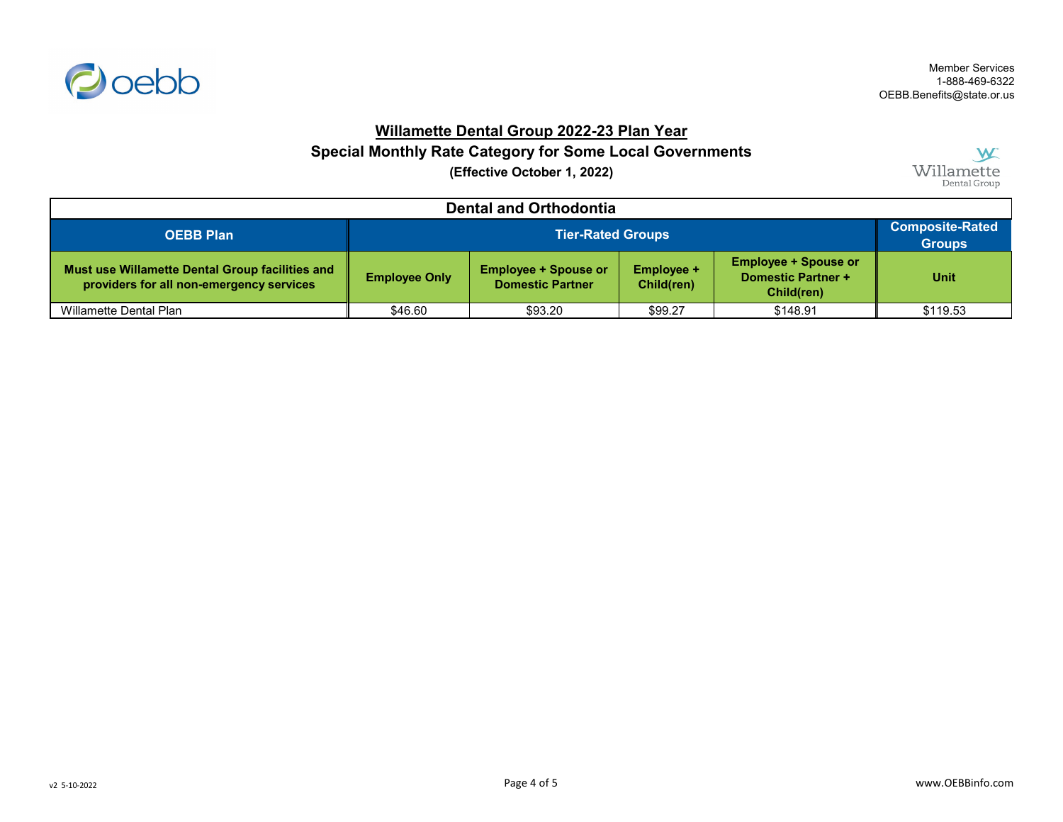

### **Willamette Dental Group 2022-23 Plan Year**

**Special Monthly Rate Category for Some Local Governments**

**(Effective October 1, 2022)**

W Willamette

| <b>Dental and Orthodontia</b>                                                               |                      |                                                                                                                                                                     |         |          |          |  |
|---------------------------------------------------------------------------------------------|----------------------|---------------------------------------------------------------------------------------------------------------------------------------------------------------------|---------|----------|----------|--|
| <b>OEBB Plan</b>                                                                            |                      | <b>Tier-Rated Groups</b>                                                                                                                                            |         |          |          |  |
| Must use Willamette Dental Group facilities and<br>providers for all non-emergency services | <b>Employee Only</b> | <b>Employee + Spouse or</b><br><b>Employee + Spouse or</b><br><b>Employee +</b><br><b>Domestic Partner +</b><br><b>Domestic Partner</b><br>Child(ren)<br>Child(ren) |         |          |          |  |
| Willamette Dental Plan                                                                      | \$46.60              | \$93.20                                                                                                                                                             | \$99.27 | \$148.91 | \$119.53 |  |